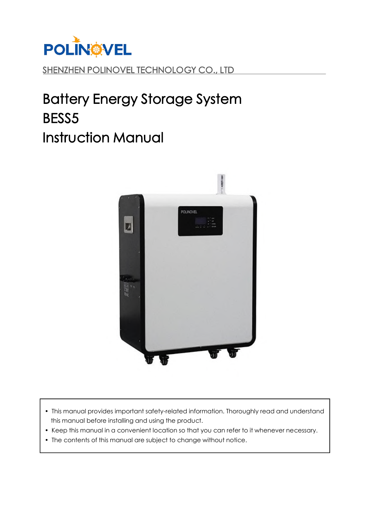

# SHENZHEN POLINOVEL TECHNOLOGY CO., LTD

# Battery Energy Storage System BESS5 Instruction Manual



- This manual provides important safety-related information. Thoroughly read and understand this manual before installing and using the product.
- Keep this manual in a convenient location so that you can refer to it whenever necessary.
- The contents of this manual are subject to change without notice.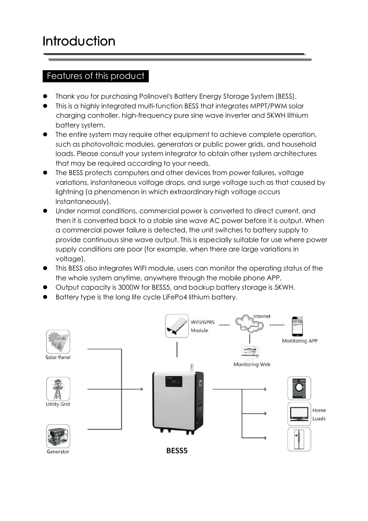## Features of this product

- Thank you for purchasing Polinovel's Battery Energy Storage System (BESS).
- This is a highly integrated multi-function BESS that integrates MPPT/PWM solar charging controller, high-frequency pure sine wave inverter and 5KWH lithium battery system.
- The entire system may require other equipment to achieve complete operation, such as photovoltaic modules, generators or public power grids, and household loads. Please consult your system integrator to obtain other system architectures that may be required according to your needs.
- The BESS protects computers and other devices from power failures, voltage variations, instantaneous voltage drops, and surge voltage such as that caused by lightning (a phenomenon in which extraordinary high voltage occurs instantaneously).
- Under normal conditions, commercial power is converted to direct current, and then it is converted back to a stable sine wave AC power before it is output. When a commercial power failure is detected, the unit switches to battery supply to provide continuous sine wave output. This is especially suitable for use where power supply conditions are poor (for example, when there are large variations in voltage).
- This BESS also integratesWIFI module, users can monitor the operating status of the the whole system anytime, anywhere through the mobile phone APP.
- Output capacity is 3000W for BESS5, and backup battery storage is 5KWH.
- Battery type is the long life cycle LiFePo4 lithium battery.

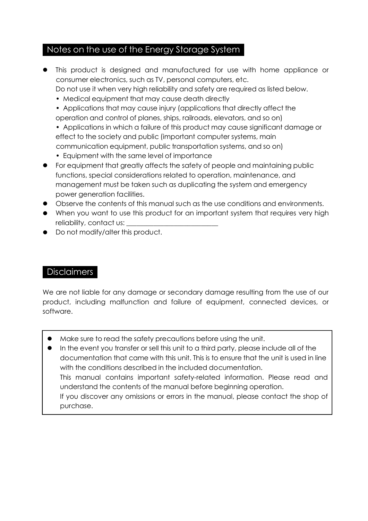### Notes on the use of the Energy Storage System

- This product is designed and manufactured for use with home appliance or consumer electronics, such as TV, personal computers, etc. Do not use it when very high reliability and safety are required as listed below.
	- Medical equipment that may cause death directly
	- Applications that may cause injury (applications that directly affect the operation and control of planes, ships, railroads, elevators, and so on)
	- Applications in which a failure of this product may cause significant damage or effect to the society and public (important computer systems, main communication equipment, public transportation systems, and so on)
	- Equipment with the same level of importance
- For equipment that greatly affects the safety of people and maintaining public functions, special considerations related to operation, maintenance, and management must be taken such as duplicating the system and emergency power generation facilities.
- Observe the contents of this manual such as the use conditions and environments.
- When you want to use this product for an important system that requires very high reliability, contact us:
- Do not modify/alter this product.

#### **Disclaimers**

We are not liable for any damage or secondary damage resulting from the use of our product, including malfunction and failure of equipment, connected devices, or software.

- Make sure to read the safety precautions before using the unit.
- In the event you transfer or sell this unit to a third party, please include all of the documentation that came with this unit. This is to ensure that the unit is used in line with the conditions described in the included documentation. This manual contains important safety-related information. Please read and understand the contents of the manual before beginning operation. If you discover any omissions or errors in the manual, please contact the shop of purchase.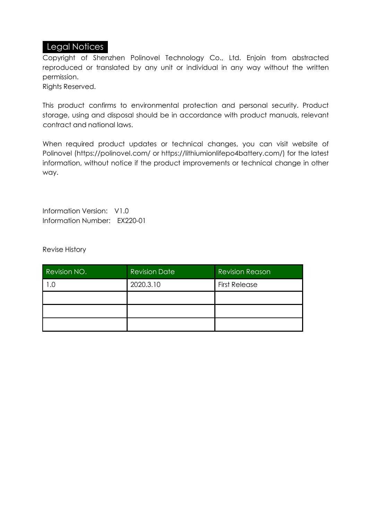#### Legal Notices

Copyright of Shenzhen Polinovel Technology Co., Ltd. Enjoin from abstracted reproduced or translated by any unit or individual in any way without the written permission.

Rights Reserved.

This product confirms to environmental protection and personal security. Product storage, using and disposal should be in accordance with product manuals, relevant contract and national laws.

When required product updates or technical changes, you can visit website of Polinovel (https://polinovel.com/ or https://lithiumionlifepo4battery.com/) for the latest information, without notice if the product improvements or technical change in other way.

Information Version: V1.0 Information Number: EX220-01

Revise History

| Revision NO. | <b>Revision Date</b> | <b>Revision Reason</b> |
|--------------|----------------------|------------------------|
| 0. ا         | 2020.3.10            | <b>First Release</b>   |
|              |                      |                        |
|              |                      |                        |
|              |                      |                        |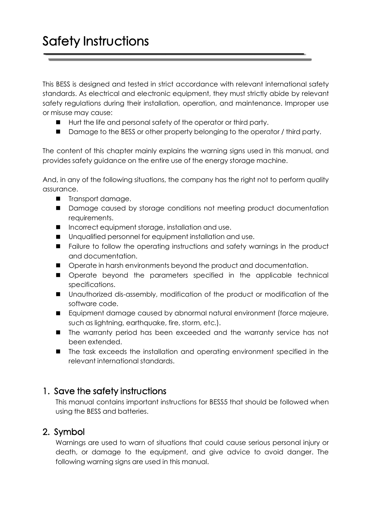This BESS is designed and tested in strict accordance with relevant international safety standards. As electrical and electronic equipment, they must strictly abide by relevant safety regulations during their installation, operation, and maintenance. Improper use or misuse may cause:

- Hurt the life and personal safety of the operator or third party.
- Damage to the BESS or other property belonging to the operator / third party.

The content of this chapter mainly explains the warning signs used in this manual, and provides safety guidance on the entire use of the energy storage machine.

And, in any of the following situations, the company has the right not to perform quality assurance.

- **Transport damage.**
- **Damage caused by storage conditions not meeting product documentation** requirements.
- Incorrect equipment storage, installation and use.
- **Unqualified personnel for equipment installation and use.**
- **Failure to follow the operating instructions and safety warnings in the product** and documentation.
- $\blacksquare$  Operate in harsh environments beyond the product and documentation.
- Operate beyond the parameters specified in the applicable technical specifications.
- Unauthorized dis-assembly, modification of the product or modification of the software code.
- Equipment damage caused by abnormal natural environment (force majeure, such as lightning, earthquake, fire, storm, etc.).
- The warranty period has been exceeded and the warranty service has not been extended.
- The task exceeds the installation and operating environment specified in the relevant international standards.

### 1. Save the safety instructions

This manual contains important instructions for BESS5 that should be followed when using the BESS and batteries.

### 2. Symbol

Warnings are used to warn of situations that could cause serious personal injury or death, or damage to the equipment, and give advice to avoid danger. The following warning signs are used in this manual.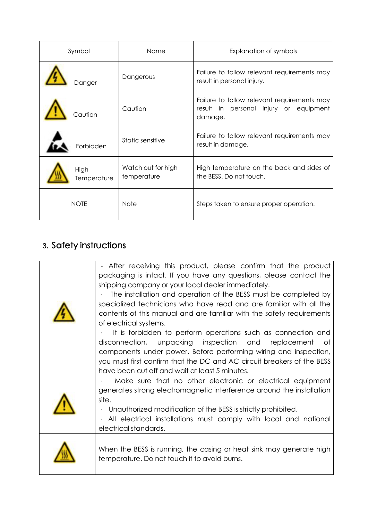| Symbol      |             | Name                              | Explanation of symbols                                                                           |  |
|-------------|-------------|-----------------------------------|--------------------------------------------------------------------------------------------------|--|
|             | Danger      | Dangerous                         | Failure to follow relevant requirements may<br>result in personal injury.                        |  |
|             | Caution     | Caution                           | Failure to follow relevant requirements may<br>result in personal injury or equipment<br>damage. |  |
|             | Forbidden   | Static sensitive                  | Failure to follow relevant requirements may<br>result in damage.                                 |  |
| <b>High</b> | Temperature | Watch out for high<br>temperature | High temperature on the back and sides of<br>the BESS. Do not touch.                             |  |
| <b>NOTE</b> |             | <b>Note</b>                       | Steps taken to ensure proper operation.                                                          |  |

# 3. Safety instructions

| • After receiving this product, please confirm that the product                                                                                                                                                                                                                                                                                                                                                                                                                                                                                                                                                                                                                                 |
|-------------------------------------------------------------------------------------------------------------------------------------------------------------------------------------------------------------------------------------------------------------------------------------------------------------------------------------------------------------------------------------------------------------------------------------------------------------------------------------------------------------------------------------------------------------------------------------------------------------------------------------------------------------------------------------------------|
| packaging is intact. If you have any questions, please contact the<br>shipping company or your local dealer immediately.<br>The installation and operation of the BESS must be completed by<br>specialized technicians who have read and are familiar with all the<br>contents of this manual and are familiar with the safety requirements<br>of electrical systems.<br>It is forbidden to perform operations such as connection and<br>disconnection, unpacking inspection and replacement of<br>components under power. Before performing wiring and inspection,<br>you must first confirm that the DC and AC circuit breakers of the BESS<br>have been cut off and wait at least 5 minutes. |
| Make sure that no other electronic or electrical equipment<br>generates strong electromagnetic interference around the installation<br>site.<br>Unauthorized modification of the BESS is strictly prohibited.<br>. All electrical installations must comply with local and national<br>electrical standards.                                                                                                                                                                                                                                                                                                                                                                                    |
| When the BESS is running, the casing or heat sink may generate high<br>temperature. Do not touch it to avoid burns.                                                                                                                                                                                                                                                                                                                                                                                                                                                                                                                                                                             |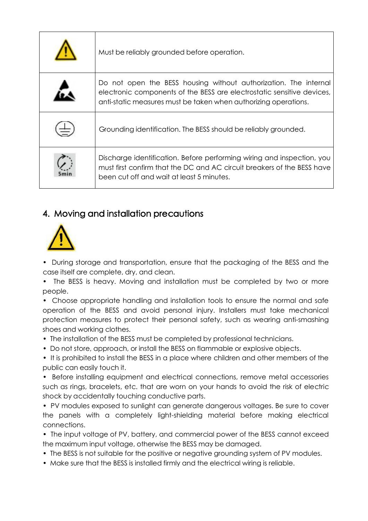| Must be reliably grounded before operation.                                                                                                                                                                   |  |
|---------------------------------------------------------------------------------------------------------------------------------------------------------------------------------------------------------------|--|
| Do not open the BESS housing without authorization. The internal<br>electronic components of the BESS are electrostatic sensitive devices,<br>anti-static measures must be taken when authorizing operations. |  |
| Grounding identification. The BESS should be reliably grounded.                                                                                                                                               |  |
| Discharge identification. Before performing wiring and inspection, you<br>must first confirm that the DC and AC circuit breakers of the BESS have<br>been cut off and wait at least 5 minutes.                |  |

# 4. Moving and installation precautions



• During storage and transportation, ensure that the packaging of the BESS and the case itself are complete, dry, and clean.

• The BESS is heavy. Moving and installation must be completed by two or more people.

• Choose appropriate handling and installation tools to ensure the normal and safe operation of the BESS and avoid personal injury. Installers must take mechanical protection measures to protect their personal safety, such as wearing anti-smashing shoes and working clothes.

• The installation of the BESS must be completed by professional technicians.

• Do not store, approach, or install the BESS on flammable or explosive objects.

• It is prohibited to install the BESS in a place where children and other members of the public can easily touch it.

• Before installing equipment and electrical connections, remove metal accessories such as rings, bracelets, etc. that are worn on your hands to avoid the risk of electric shock by accidentally touching conductive parts.

• PV modules exposed to sunlight can generate dangerous voltages. Be sure to cover the panels with a completely light-shielding material before making electrical connections.

• The input voltage of PV, battery, and commercial power of the BESS cannot exceed the maximum input voltage, otherwise the BESS may be damaged.

- The BESS is not suitable for the positive or negative grounding system of PV modules.
- Make sure that the BESS is installed firmly and the electrical wiring is reliable.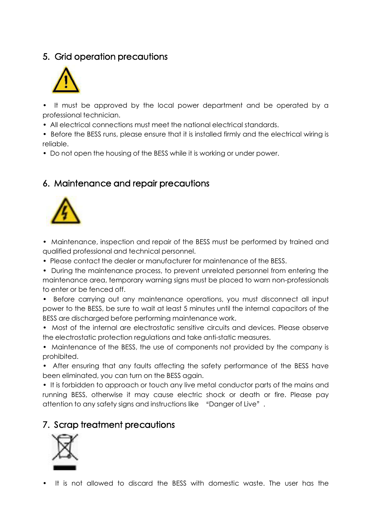# 5. Grid operation precautions



• It must be approved by the local power department and be operated by a professional technician.

• All electrical connections must meet the national electrical standards.

• Before the BESS runs, please ensure that it is installed firmly and the electrical wiring is reliable.

• Do not open the housing of the BESS while it is working or under power.

# 6. Maintenance and repair precautions



• Maintenance, inspection and repair of the BESS must be performed by trained and qualified professional and technical personnel.

- Please contact the dealer or manufacturer for maintenance of the BESS.
- During the maintenance process, to prevent unrelated personnel from entering the maintenance area, temporary warning signs must be placed to warn non-professionals to enter or be fenced off.
- Before carrying out any maintenance operations, you must disconnect all input power to the BESS, be sure to wait at least 5 minutes until the internal capacitors of the BESS are discharged before performing maintenance work.
- Most of the internal are electrostatic sensitive circuits and devices. Please observe the electrostatic protection regulations and take anti-static measures.
- Maintenance of the BESS, the use of components not provided by the company is prohibited.
- After ensuring that any faults affecting the safety performance of the BESS have been eliminated, you can turn on the BESS again.

• It is forbidden to approach or touch any live metal conductor parts of the mains and running BESS, otherwise it may cause electric shock or death or fire. Please pay attention to any safety signs and instructions like "Danger of Live".

### 7. Scrap treatment precautions



• It is not allowed to discard the BESS with domestic waste. The user has the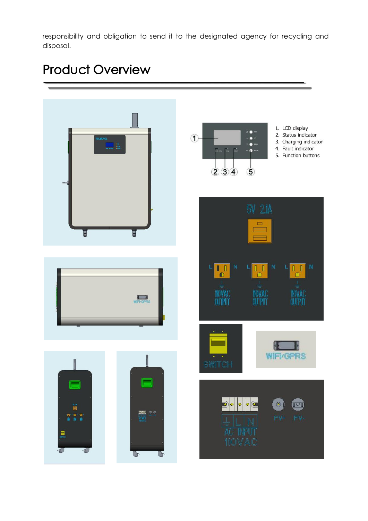responsibility and obligation to send it to the designated agency for recycling and disposal.

# Product Overview

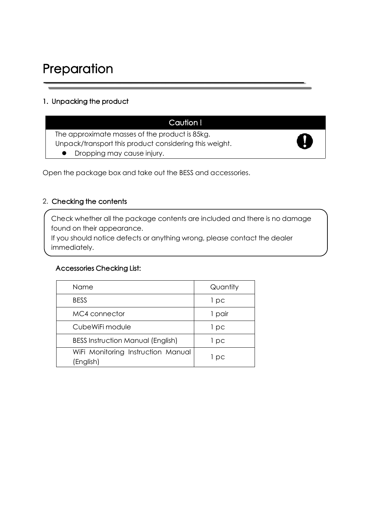# Preparation

#### 1. Unpacking the product

# Caution !

The approximate masses of the product is 85kg. Unpack/transport this product considering this weight. **•** Dropping may cause injury.



Open the package box and take out the BESS and accessories.

#### 2. Checking the contents

Check whether all the package contents are included and there is no damage found on their appearance.

If you should notice defects or anything wrong, please contact the dealer immediately.

#### Accessories Checking List:

| Name                                            | Quantity |
|-------------------------------------------------|----------|
| <b>BESS</b>                                     | 1 pc     |
| MC4 connector                                   | 1 pair   |
| CubeWiFi module                                 | l pc     |
| <b>BESS Instruction Manual (English)</b>        | l pc     |
| WiFi Monitoring Instruction Manual<br>(English) | l pc     |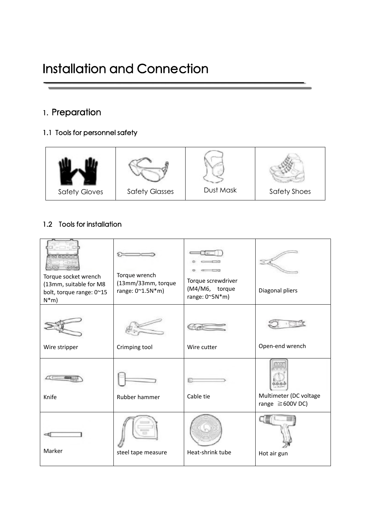# 1. Preparation

#### 1.1 Tools for personnel safety



#### 1.2 Tools for installation

| 公司の必<br>Torque socket wrench<br>(13mm, suitable for M8<br>bolt, torque range: 0~15<br>$N^*m$ | Torque wrench<br>(13mm/33mm, torque<br>range: 0~1.5N*m) | Torque screwdriver<br>(M4/M6, torque<br>range: $0^{\sim}5N^*m$ ) | Diagonal pliers                                 |
|----------------------------------------------------------------------------------------------|---------------------------------------------------------|------------------------------------------------------------------|-------------------------------------------------|
| Wire stripper                                                                                | Crimping tool                                           | Wire cutter                                                      | Open-end wrench                                 |
| Knife                                                                                        | Rubber hammer                                           | Cable tie                                                        | Multimeter (DC voltage<br>range $\geq 600V$ DC) |
| Marker                                                                                       | steel tape measure                                      | Heat-shrink tube                                                 | Hot air gun                                     |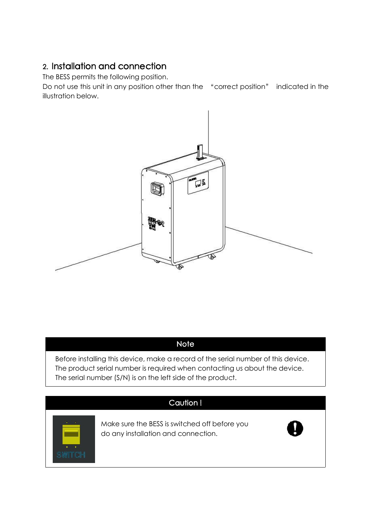# 2. Installation and connection

The BESS permits the following position.

Do not use this unit in any position other than the "correct position" indicated in the illustration below.



# **Note**

Before installing this device, make a record of the serial number of this device. The product serial number is required when contacting us about the device. The serial number (S/N) is on the left side of the product.

# Caution !



Make sure the BESS is switched off before you do any installation and connection.

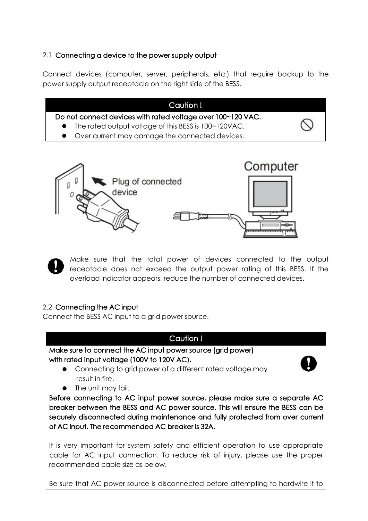#### 2.1 Connecting a device to the power supply output

Connect devices (computer, server, peripherals, etc.) that require backup to the power supply output receptacle on the right side of the BESS.

|                                                  | Caution!                                                                                                              |  |
|--------------------------------------------------|-----------------------------------------------------------------------------------------------------------------------|--|
|                                                  | Do not connect devices with rated voltage over 100~120 VAC.<br>• The rated output voltage of this BESS is 100~120VAC. |  |
| • Over current may damage the connected devices. |                                                                                                                       |  |
|                                                  |                                                                                                                       |  |



Make sure that the total power of devices connected to the output receptacle does not exceed the output power rating of this BESS. If the overload indicator appears, reduce the number of connected devices.

#### 2.2 Connecting the AC input

Connect the BESS AC input to a grid power source.

## Caution ! Make sure to connect the AC input power source (grid power) with rated input voltage (100V to 120V AC). Connecting to grid power of a different rated voltage may result in fire. • The unit may fail. Before connecting to AC input power source, please make sure a separate AC breaker between the BESS and AC power source. This will ensure the BESS can be securely disconnected during maintenance and fully protected from over current of AC input. The recommended AC breaker is 32A. It is very important for system safety and efficient operation to use appropriate cable for AC input connection. To reduce risk of injury, please use the proper recommended cable size as below.

Be sure that AC power source is disconnected before attempting to hardwire it to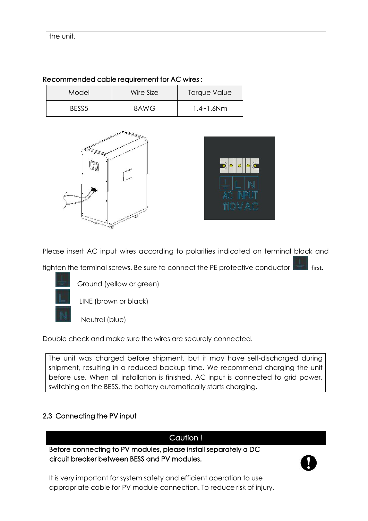| Model             | Wire Size | <b>Torque Value</b> |  |
|-------------------|-----------|---------------------|--|
| BESS <sub>5</sub> | 8AWG      | 1.4~1.6Nm           |  |

Recommended cable requirement for AC wires :





Please insert AC input wires according to polarities indicated on terminal block and

tighten the terminal screws. Be sure to connect the PE protective conductor **Fig.** first.



Ground (yellow or green)

LINE (brown or black)

Neutral (blue)

Double check and make sure the wires are securely connected.

The unit was charged before shipment, but it may have self-discharged during shipment, resulting in a reduced backup time. We recommend charging the unit before use. When all installation is finished, AC input is connected to grid power, switching on the BESS, the battery automatically starts charging.

#### 2.3 Connecting the PV input

# Caution ! Before connecting to PV modules, please install separately a DC circuit breaker between BESS and PV modules.

It is very important for system safety and efficient operation to use appropriate cable for PV module connection. To reduce risk of injury,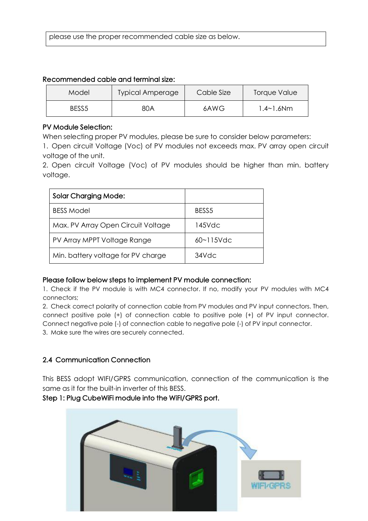please use the proper recommended cable size as below.

| Recommended cable and terminal size: |  |
|--------------------------------------|--|
|--------------------------------------|--|

| Model | <b>Typical Amperage</b> | Cable Size | Torque Value |
|-------|-------------------------|------------|--------------|
| BESS5 | 80A                     | 6AWG       | .4~1.6Nm     |

#### PV Module Selection:

When selecting proper PV modules, please be sure to consider below parameters:

1. Open circuit Voltage (Voc) of PV modules not exceeds max. PV array open circuit voltage of the unit.

2. Open circuit Voltage (Voc) of PV modules should be higher than min. battery voltage.

| <b>Solar Charging Mode:</b>        |                   |
|------------------------------------|-------------------|
| <b>BESS Model</b>                  | BESS <sub>5</sub> |
| Max. PV Array Open Circuit Voltage | 145Vdc            |
| PV Array MPPT Voltage Range        | $60 - 115$ Vdc    |
| Min. battery voltage for PV charge | 34Vdc             |

#### Please follow below steps to implement PV module connection:

1. Check if the PV module is with MC4 connector. If no, modify your PV modules with MC4 connectors;

2. Check correct polarity of connection cable from PV modules and PV input connectors. Then, connect positive pole (+) of connection cable to positive pole (+) of PV input connector. Connect negative pole (-) of connection cable to negative pole (-) of PV input connector. 3. Make sure the wires are securely connected.

#### 2.4 Communication Connection

This BESS adopt WIFI/GPRS communication, connection of the communication is the same as it for the built-in inverter of this BESS.

#### Step 1: Plug CubeWiFi module into the WiFI/GPRS port.

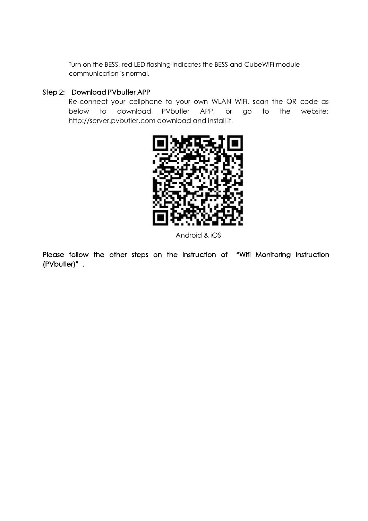Turn on the BESS, red LED flashing indicates the BESS and CubeWiFi module communication is normal.

#### Step 2: Download PVbutler APP

Re-connect your cellphone to your own WLAN WiFi, scan the QR code as below to download PVbutler APP, or go to the website: http://server.pvbutler.com download and install it.



Android & iOS

Please follow the other steps on the instruction of "Wifi Monitoring Instruction (PVbutler)".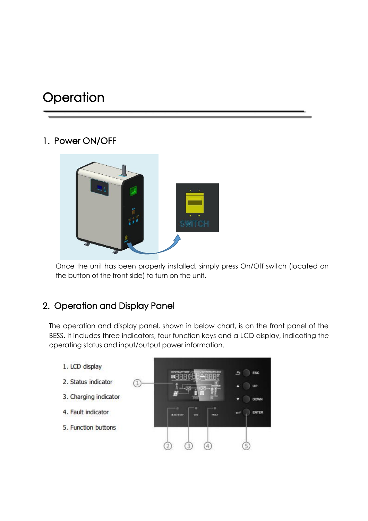# **Operation**

# 1. Power ON/OFF



Once the unit has been properly installed, simply press On/Off switch (located on the button of the front side) to turn on the unit.

# 2. Operation and Display Panel

The operation and display panel, shown in below chart, is on the front panel of the BESS. It includes three indicators, four function keys and a LCD display, indicating the operating status and input/output power information.

- 1. LCD display
- 2. Status indicator
- 3. Charging indicator
- 4. Fault indicator
- 5. Function buttons

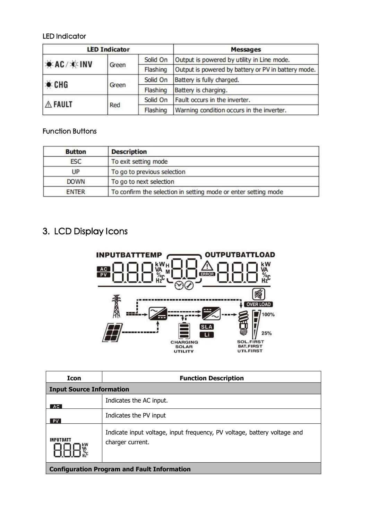#### LED Indicator

| <b>LED Indicator</b> |       |          | <b>Messages</b>                                     |
|----------------------|-------|----------|-----------------------------------------------------|
| <b>AC/XINV</b>       |       | Solid On | Output is powered by utility in Line mode.          |
|                      | Green | Flashing | Output is powered by battery or PV in battery mode. |
| CHG                  | Green | Solid On | Battery is fully charged.                           |
|                      |       | Flashing | Battery is charging.                                |
| A FAULT              | Red   | Solid On | Fault occurs in the inverter.                       |
|                      |       | Flashing | Warning condition occurs in the inverter.           |

#### Function Buttons

| <b>Button</b> | <b>Description</b>                                             |
|---------------|----------------------------------------------------------------|
| <b>ESC</b>    | To exit setting mode                                           |
| UP            | To go to previous selection                                    |
| <b>DOWN</b>   | To go to next selection                                        |
| <b>ENTER</b>  | To confirm the selection in setting mode or enter setting mode |

# 3. LCD Display Icons



| Icon                            | <b>Function Description</b>                                                                  |
|---------------------------------|----------------------------------------------------------------------------------------------|
| <b>Input Source Information</b> |                                                                                              |
| AC                              | Indicates the AC input.                                                                      |
| <b>PV</b>                       | Indicates the PV input                                                                       |
| <b>INPUTBATT</b>                | Indicate input voltage, input frequency, PV voltage, battery voltage and<br>charger current. |
|                                 | <b>Configuration Program and Fault Information</b>                                           |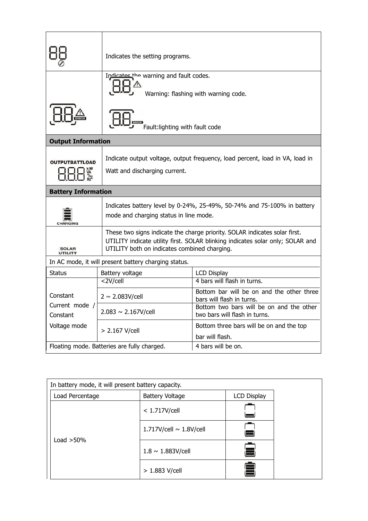| Indicates the setting programs.                                                                                                                                                                                                         |
|-----------------------------------------------------------------------------------------------------------------------------------------------------------------------------------------------------------------------------------------|
| Indicates the warning and fault codes.<br>Warning: flashing with warning code.                                                                                                                                                          |
| Fault:lighting with fault code                                                                                                                                                                                                          |
| <b>Output Information</b>                                                                                                                                                                                                               |
| Indicate output voltage, output frequency, load percent, load in VA, load in<br><b>OUTPUTBATTLOAD</b><br>Watt and discharging current.                                                                                                  |
| <b>Battery Information</b>                                                                                                                                                                                                              |
| Indicates battery level by 0-24%, 25-49%, 50-74% and 75-100% in battery<br>mode and charging status in line mode.<br>CHARGING                                                                                                           |
| These two signs indicate the charge priority. SOLAR indicates solar first.<br>UTILITY indicate utility first. SOLAR blinking indicates solar only; SOLAR and<br>UTILITY both on indicates combined charging.<br><b>SOLAR</b><br>UTILITY |
| In AC mode, it will present battery charging status.                                                                                                                                                                                    |
| Battery voltage<br><b>Status</b><br><b>LCD Display</b><br>2V/cell<br>4 bars will flash in turns.                                                                                                                                        |
| Bottom bar will be on and the other three<br>Constant<br>$2 \sim 2.083V/cell$<br>bars will flash in turns.                                                                                                                              |
| Current mode /<br>Bottom two bars will be on and the other<br>$2.083 \sim 2.167V/cell$<br>two bars will flash in turns.<br>Constant                                                                                                     |
| Voltage mode<br>Bottom three bars will be on and the top<br>> 2.167 V/cell                                                                                                                                                              |
| bar will flash.<br>4 bars will be on.<br>Floating mode. Batteries are fully charged.                                                                                                                                                    |

| In battery mode, it will present battery capacity. |                              |                    |  |
|----------------------------------------------------|------------------------------|--------------------|--|
| Load Percentage                                    | <b>Battery Voltage</b>       | <b>LCD Display</b> |  |
|                                                    | $<$ 1.717V/cell              |                    |  |
| Load $>50\%$                                       | 1.717V/cell $\sim$ 1.8V/cell |                    |  |
|                                                    | $1.8 \sim 1.883V/cell$       |                    |  |
|                                                    | $> 1.883$ V/cell             |                    |  |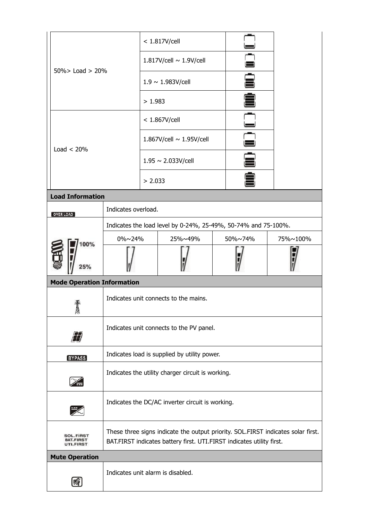|                                                   |                                                                                                                                                           |                               | < 1.817V/cell                                                  |  |              |          |
|---------------------------------------------------|-----------------------------------------------------------------------------------------------------------------------------------------------------------|-------------------------------|----------------------------------------------------------------|--|--------------|----------|
| $50\%$ > Load > 20%                               |                                                                                                                                                           |                               | 1.817V/cell ~ 1.9V/cell                                        |  | $\mathbf{r}$ |          |
|                                                   |                                                                                                                                                           | $1.9 \sim 1.983V/cell$        |                                                                |  |              |          |
|                                                   |                                                                                                                                                           | >1.983                        |                                                                |  | ê<br>Ê       |          |
|                                                   |                                                                                                                                                           | < 1.867V/cell                 |                                                                |  |              |          |
| Load $< 20\%$                                     |                                                                                                                                                           | 1.867V/cell $\sim$ 1.95V/cell |                                                                |  |              |          |
|                                                   |                                                                                                                                                           |                               | $1.95 \sim 2.033V/cell$                                        |  | Ê            |          |
|                                                   |                                                                                                                                                           | > 2.033                       |                                                                |  | ≜            |          |
| <b>Load Information</b>                           |                                                                                                                                                           |                               |                                                                |  |              |          |
| OVER LOAD                                         | Indicates overload.                                                                                                                                       |                               |                                                                |  |              |          |
|                                                   |                                                                                                                                                           |                               | Indicates the load level by 0-24%, 25-49%, 50-74% and 75-100%. |  |              |          |
|                                                   | 0%~24%                                                                                                                                                    |                               | 25%~49%                                                        |  | 50%~74%      | 75%~100% |
| 100%<br>the<br>25%                                |                                                                                                                                                           |                               |                                                                |  |              |          |
| <b>Mode Operation Information</b>                 |                                                                                                                                                           |                               |                                                                |  |              |          |
| 奮<br>RA                                           | Indicates unit connects to the mains.                                                                                                                     |                               |                                                                |  |              |          |
| $\varPi$                                          | Indicates unit connects to the PV panel.                                                                                                                  |                               |                                                                |  |              |          |
| <b>BYPASS</b>                                     | Indicates load is supplied by utility power.                                                                                                              |                               |                                                                |  |              |          |
| $\mathbb{Z}$                                      | Indicates the utility charger circuit is working.                                                                                                         |                               |                                                                |  |              |          |
| $\overline{\mathscr{K}}$                          | Indicates the DC/AC inverter circuit is working.                                                                                                          |                               |                                                                |  |              |          |
| <b>SOL.FIRST</b><br><b>BAT.FIRST</b><br>UTI.FIRST | These three signs indicate the output priority. SOL.FIRST indicates solar first.<br>BAT.FIRST indicates battery first. UTI.FIRST indicates utility first. |                               |                                                                |  |              |          |
| <b>Mute Operation</b>                             |                                                                                                                                                           |                               |                                                                |  |              |          |
| Ø                                                 | Indicates unit alarm is disabled.                                                                                                                         |                               |                                                                |  |              |          |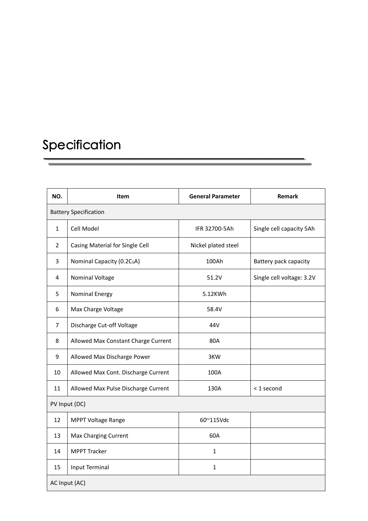# Specification

| NO.            | Item                                   | <b>General Parameter</b> | <b>Remark</b>             |
|----------------|----------------------------------------|--------------------------|---------------------------|
|                | <b>Battery Specification</b>           |                          |                           |
| $\mathbf{1}$   | Cell Model                             | IFR 32700-5Ah            | Single cell capacity 5Ah  |
| $\overline{2}$ | Casing Material for Single Cell        | Nickel plated steel      |                           |
| 3              | Nominal Capacity (0.2C <sub>5</sub> A) | 100Ah                    | Battery pack capacity     |
| 4              | Nominal Voltage                        | 51.2V                    | Single cell voltage: 3.2V |
| 5              | <b>Nominal Energy</b>                  | 5.12KWh                  |                           |
| 6              | Max Charge Voltage                     | 58.4V                    |                           |
| $\overline{7}$ | Discharge Cut-off Voltage              | 44V                      |                           |
| $\,8\,$        | Allowed Max Constant Charge Current    | 80A                      |                           |
| 9              | Allowed Max Discharge Power            | 3KW                      |                           |
| 10             | Allowed Max Cont. Discharge Current    | 100A                     |                           |
| 11             | Allowed Max Pulse Discharge Current    | 130A                     | < 1 second                |
|                | PV Input (DC)                          |                          |                           |
| 12             | MPPT Voltage Range                     | 60~115Vdc                |                           |
| 13             | Max Charging Current                   | 60A                      |                           |
| 14             | <b>MPPT Tracker</b>                    | $\mathbf{1}$             |                           |
| 15             | <b>Input Terminal</b>                  | $\mathbf{1}$             |                           |
|                | AC Input (AC)                          |                          |                           |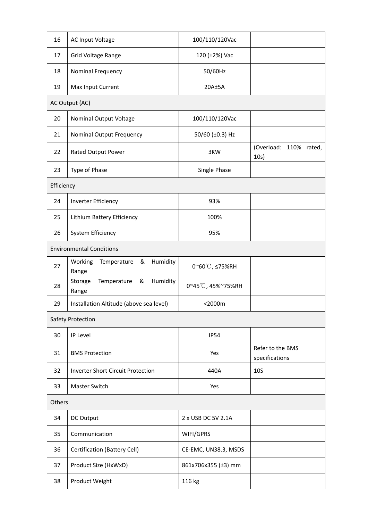| 16         | <b>AC Input Voltage</b>                          | 100/110/120Vac       |                                    |
|------------|--------------------------------------------------|----------------------|------------------------------------|
| 17         | Grid Voltage Range                               | 120 (±2%) Vac        |                                    |
| 18         | Nominal Frequency                                | 50/60Hz              |                                    |
| 19         | Max Input Current                                | $20A \pm 5A$         |                                    |
|            | AC Output (AC)                                   |                      |                                    |
| 20         | Nominal Output Voltage                           | 100/110/120Vac       |                                    |
| 21         | Nominal Output Frequency                         | 50/60 (±0.3) Hz      |                                    |
| 22         | Rated Output Power                               | 3KW                  | (Overload: 110% rated,<br>10s)     |
| 23         | Type of Phase                                    | Single Phase         |                                    |
| Efficiency |                                                  |                      |                                    |
| 24         | Inverter Efficiency                              | 93%                  |                                    |
| 25         | Lithium Battery Efficiency                       | 100%                 |                                    |
| 26         | System Efficiency                                | 95%                  |                                    |
|            | <b>Environmental Conditions</b>                  |                      |                                    |
| 27         | Humidity<br>Temperature &<br>Working<br>Range    | 0~60℃, ≤75%RH        |                                    |
| 28         | Temperature<br>Humidity<br>&<br>Storage<br>Range | 0~45°C, 45%~75%RH    |                                    |
| 29         | Installation Altitude (above sea level)          | <2000m               |                                    |
|            | Safety Protection                                |                      |                                    |
| 30         | IP Level                                         | <b>IP54</b>          |                                    |
| 31         | <b>BMS Protection</b>                            | Yes                  | Refer to the BMS<br>specifications |
| 32         | <b>Inverter Short Circuit Protection</b>         | 440A                 | <b>10S</b>                         |
| 33         | Master Switch                                    | Yes                  |                                    |
| Others     |                                                  |                      |                                    |
| 34         | DC Output                                        | 2 x USB DC 5V 2.1A   |                                    |
| 35         | Communication                                    | WIFI/GPRS            |                                    |
| 36         | <b>Certification (Battery Cell)</b>              | CE-EMC, UN38.3, MSDS |                                    |
| 37         | Product Size (HxWxD)                             | 861x706x355 (±3) mm  |                                    |
| 38         | Product Weight                                   | 116 kg               |                                    |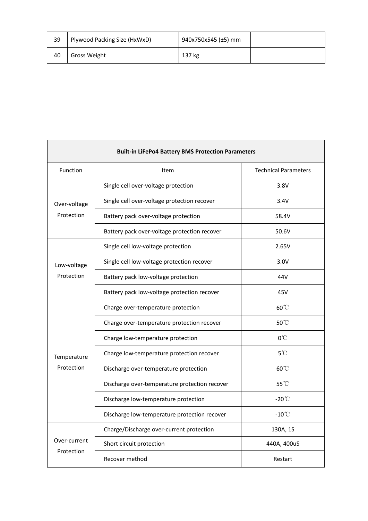| 39 | Plywood Packing Size (HxWxD) | 940x750x545 (±5) mm |  |
|----|------------------------------|---------------------|--|
| 40 | Gross Weight                 | 137 kg              |  |

| <b>Built-in LiFePo4 Battery BMS Protection Parameters</b> |                                               |                             |  |  |
|-----------------------------------------------------------|-----------------------------------------------|-----------------------------|--|--|
| Function                                                  | Item                                          | <b>Technical Parameters</b> |  |  |
| Over-voltage<br>Protection                                | Single cell over-voltage protection           | 3.8V                        |  |  |
|                                                           | Single cell over-voltage protection recover   | 3.4V                        |  |  |
|                                                           | Battery pack over-voltage protection          | 58.4V                       |  |  |
|                                                           | Battery pack over-voltage protection recover  | 50.6V                       |  |  |
|                                                           | Single cell low-voltage protection            | 2.65V                       |  |  |
| Low-voltage                                               | Single cell low-voltage protection recover    | 3.0V                        |  |  |
| Protection                                                | Battery pack low-voltage protection           | 44V                         |  |  |
|                                                           | Battery pack low-voltage protection recover   | 45V                         |  |  |
|                                                           | Charge over-temperature protection            | $60^{\circ}$                |  |  |
|                                                           | Charge over-temperature protection recover    | 50°C                        |  |  |
|                                                           | Charge low-temperature protection             | $0^{\circ}$ C               |  |  |
| Temperature                                               | Charge low-temperature protection recover     | $5^{\circ}$ C               |  |  |
| Protection                                                | Discharge over-temperature protection         | 60°C                        |  |  |
|                                                           | Discharge over-temperature protection recover | 55°C                        |  |  |
|                                                           | Discharge low-temperature protection          | $-20^{\circ}$ C             |  |  |
|                                                           | Discharge low-temperature protection recover  | $-10^{\circ}$ C             |  |  |
|                                                           | Charge/Discharge over-current protection      | 130A, 1S                    |  |  |
| Over-current<br>Protection                                | Short circuit protection                      | 440A, 400uS                 |  |  |
|                                                           | Recover method                                | Restart                     |  |  |